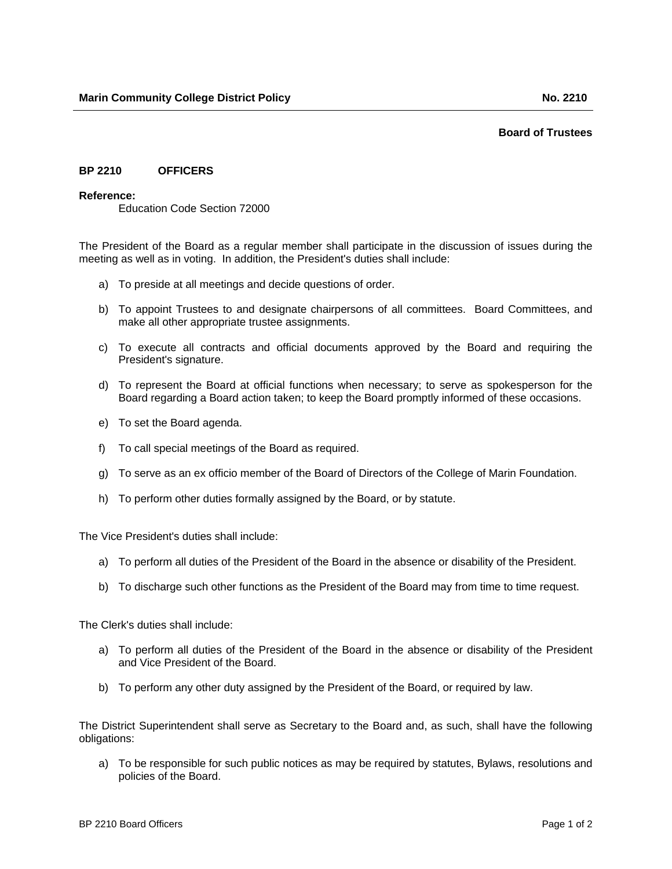## **Board of Trustees**

## **BP 2210 OFFICERS**

## **Reference:**

Education Code Section 72000

The President of the Board as a regular member shall participate in the discussion of issues during the meeting as well as in voting. In addition, the President's duties shall include:

- a) To preside at all meetings and decide questions of order.
- b) To appoint Trustees to and designate chairpersons of all committees. Board Committees, and make all other appropriate trustee assignments.
- c) To execute all contracts and official documents approved by the Board and requiring the President's signature.
- d) To represent the Board at official functions when necessary; to serve as spokesperson for the Board regarding a Board action taken; to keep the Board promptly informed of these occasions.
- e) To set the Board agenda.
- f) To call special meetings of the Board as required.
- g) To serve as an ex officio member of the Board of Directors of the College of Marin Foundation.
- h) To perform other duties formally assigned by the Board, or by statute.

The Vice President's duties shall include:

- a) To perform all duties of the President of the Board in the absence or disability of the President.
- b) To discharge such other functions as the President of the Board may from time to time request.

The Clerk's duties shall include:

- a) To perform all duties of the President of the Board in the absence or disability of the President and Vice President of the Board.
- b) To perform any other duty assigned by the President of the Board, or required by law.

The District Superintendent shall serve as Secretary to the Board and, as such, shall have the following obligations:

a) To be responsible for such public notices as may be required by statutes, Bylaws, resolutions and policies of the Board.